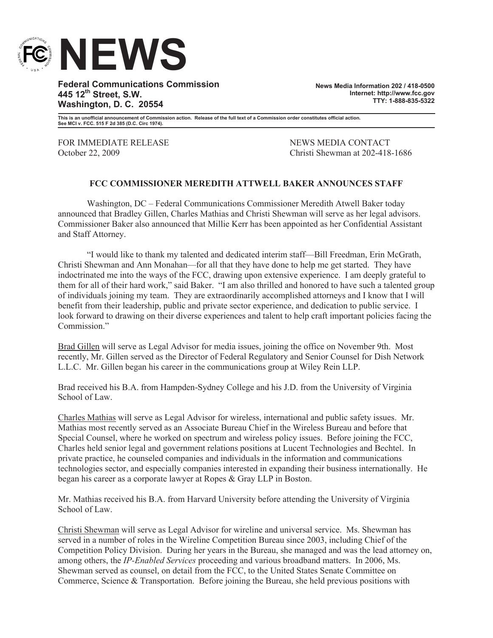

**Federal Communications Commission 445 12th Street, S.W. Washington, D. C. 20554**

**News Media Information 202 / 418-0500 Internet: http://www.fcc.gov TTY: 1-888-835-5322**

**This is an unofficial announcement of Commission action. Release of the full text of a Commission order constitutes official action. See MCI v. FCC. 515 F 2d 385 (D.C. Circ 1974).**

FOR IMMEDIATE RELEASE NEWS MEDIA CONTACT

October 22, 2009 Christi Shewman at 202-418-1686

## **FCC COMMISSIONER MEREDITH ATTWELL BAKER ANNOUNCES STAFF**

Washington, DC – Federal Communications Commissioner Meredith Atwell Baker today announced that Bradley Gillen, Charles Mathias and Christi Shewman will serve as her legal advisors. Commissioner Baker also announced that Millie Kerr has been appointed as her Confidential Assistant and Staff Attorney.

"I would like to thank my talented and dedicated interim staff—Bill Freedman, Erin McGrath, Christi Shewman and Ann Monahan—for all that they have done to help me get started. They have indoctrinated me into the ways of the FCC, drawing upon extensive experience. I am deeply grateful to them for all of their hard work," said Baker. "I am also thrilled and honored to have such a talented group of individuals joining my team. They are extraordinarily accomplished attorneys and I know that I will benefit from their leadership, public and private sector experience, and dedication to public service. I look forward to drawing on their diverse experiences and talent to help craft important policies facing the Commission<sup>"</sup>

Brad Gillen will serve as Legal Advisor for media issues, joining the office on November 9th. Most recently, Mr. Gillen served as the Director of Federal Regulatory and Senior Counsel for Dish Network L.L.C. Mr. Gillen began his career in the communications group at Wiley Rein LLP.

Brad received his B.A. from Hampden-Sydney College and his J.D. from the University of Virginia School of Law.

Charles Mathias will serve as Legal Advisor for wireless, international and public safety issues. Mr. Mathias most recently served as an Associate Bureau Chief in the Wireless Bureau and before that Special Counsel, where he worked on spectrum and wireless policy issues. Before joining the FCC, Charles held senior legal and government relations positions at Lucent Technologies and Bechtel. In private practice, he counseled companies and individuals in the information and communications technologies sector, and especially companies interested in expanding their business internationally. He began his career as a corporate lawyer at Ropes & Gray LLP in Boston.

Mr. Mathias received his B.A. from Harvard University before attending the University of Virginia School of Law.

Christi Shewman will serve as Legal Advisor for wireline and universal service. Ms. Shewman has served in a number of roles in the Wireline Competition Bureau since 2003, including Chief of the Competition Policy Division. During her years in the Bureau, she managed and was the lead attorney on, among others, the *IP-Enabled Services* proceeding and various broadband matters. In 2006, Ms. Shewman served as counsel, on detail from the FCC, to the United States Senate Committee on Commerce, Science & Transportation. Before joining the Bureau, she held previous positions with